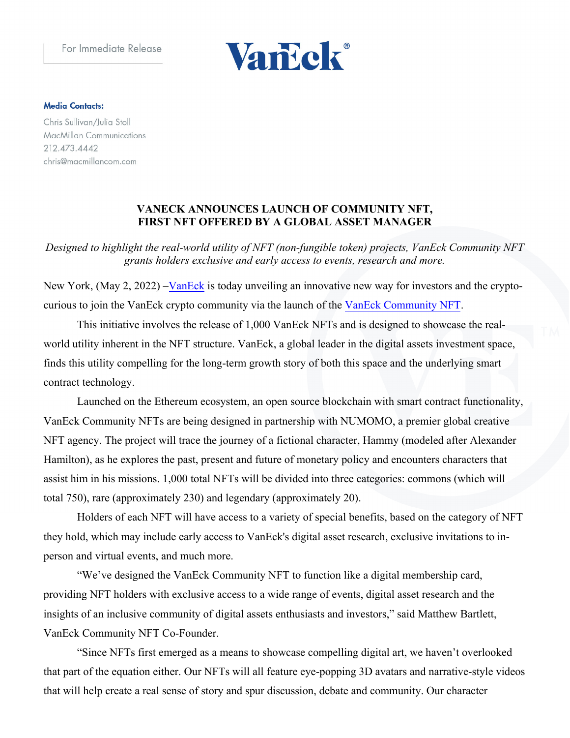

#### **Media Contacts:**

Chris Sullivan/Julia Stoll **MacMillan Communications** 212.473.4442 chris@macmillancom.com

# **VANECK ANNOUNCES LAUNCH OF COMMUNITY NFT, FIRST NFT OFFERED BY A GLOBAL ASSET MANAGER**

*Designed to highlight the real-world utility of NFT (non-fungible token) projects, VanEck Community NFT grants holders exclusive and early access to events, research and more.* 

New York, (May 2, 2022) – VanEck is today unveiling an innovative new way for investors and the cryptocurious to join the VanEck crypto community via the launch of the VanEck Community NFT.

This initiative involves the release of 1,000 VanEck NFTs and is designed to showcase the realworld utility inherent in the NFT structure. VanEck, a global leader in the digital assets investment space, finds this utility compelling for the long-term growth story of both this space and the underlying smart contract technology.

Launched on the Ethereum ecosystem, an open source blockchain with smart contract functionality, VanEck Community NFTs are being designed in partnership with NUMOMO, a premier global creative NFT agency. The project will trace the journey of a fictional character, Hammy (modeled after Alexander Hamilton), as he explores the past, present and future of monetary policy and encounters characters that assist him in his missions. 1,000 total NFTs will be divided into three categories: commons (which will total 750), rare (approximately 230) and legendary (approximately 20).

Holders of each NFT will have access to a variety of special benefits, based on the category of NFT they hold, which may include early access to VanEck's digital asset research, exclusive invitations to inperson and virtual events, and much more.

"We've designed the VanEck Community NFT to function like a digital membership card, providing NFT holders with exclusive access to a wide range of events, digital asset research and the insights of an inclusive community of digital assets enthusiasts and investors," said Matthew Bartlett, VanEck Community NFT Co-Founder.

"Since NFTs first emerged as a means to showcase compelling digital art, we haven't overlooked that part of the equation either. Our NFTs will all feature eye-popping 3D avatars and narrative-style videos that will help create a real sense of story and spur discussion, debate and community. Our character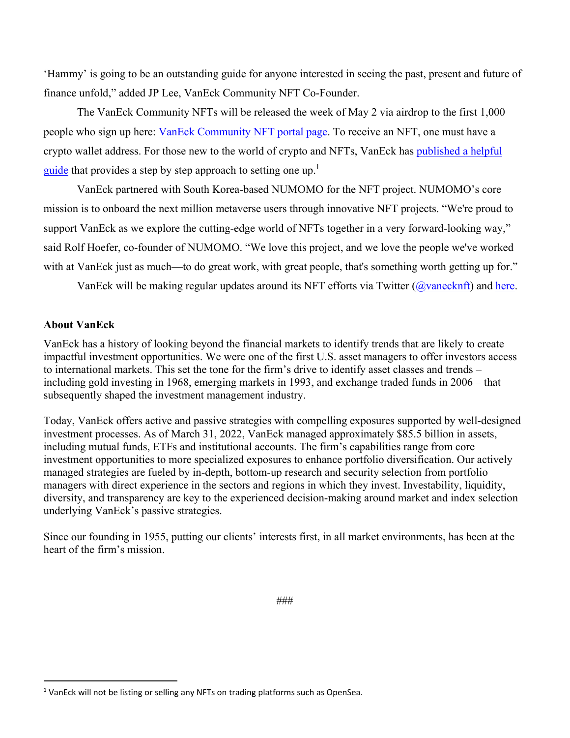'Hammy' is going to be an outstanding guide for anyone interested in seeing the past, present and future of finance unfold," added JP Lee, VanEck Community NFT Co-Founder.

The VanEck Community NFTs will be released the week of May 2 via airdrop to the first 1,000 people who sign up here: VanEck Community NFT portal page. To receive an NFT, one must have a crypto wallet address. For those new to the world of crypto and NFTs, VanEck has published a helpful guide that provides a step by step approach to setting one up.<sup>1</sup>

VanEck partnered with South Korea-based NUMOMO for the NFT project. NUMOMO's core mission is to onboard the next million metaverse users through innovative NFT projects. "We're proud to support VanEck as we explore the cutting-edge world of NFTs together in a very forward-looking way," said Rolf Hoefer, co-founder of NUMOMO. "We love this project, and we love the people we've worked with at VanEck just as much—to do great work, with great people, that's something worth getting up for."

VanEck will be making regular updates around its NFT efforts via Twitter ( $\omega$ vanecknft) and here.

### **About VanEck**

VanEck has a history of looking beyond the financial markets to identify trends that are likely to create impactful investment opportunities. We were one of the first U.S. asset managers to offer investors access to international markets. This set the tone for the firm's drive to identify asset classes and trends – including gold investing in 1968, emerging markets in 1993, and exchange traded funds in 2006 – that subsequently shaped the investment management industry.

Today, VanEck offers active and passive strategies with compelling exposures supported by well-designed investment processes. As of March 31, 2022, VanEck managed approximately \$85.5 billion in assets, including mutual funds, ETFs and institutional accounts. The firm's capabilities range from core investment opportunities to more specialized exposures to enhance portfolio diversification. Our actively managed strategies are fueled by in-depth, bottom-up research and security selection from portfolio managers with direct experience in the sectors and regions in which they invest. Investability, liquidity, diversity, and transparency are key to the experienced decision-making around market and index selection underlying VanEck's passive strategies.

Since our founding in 1955, putting our clients' interests first, in all market environments, has been at the heart of the firm's mission.

 <sup>1</sup> VanEck will not be listing or selling any NFTs on trading platforms such as OpenSea.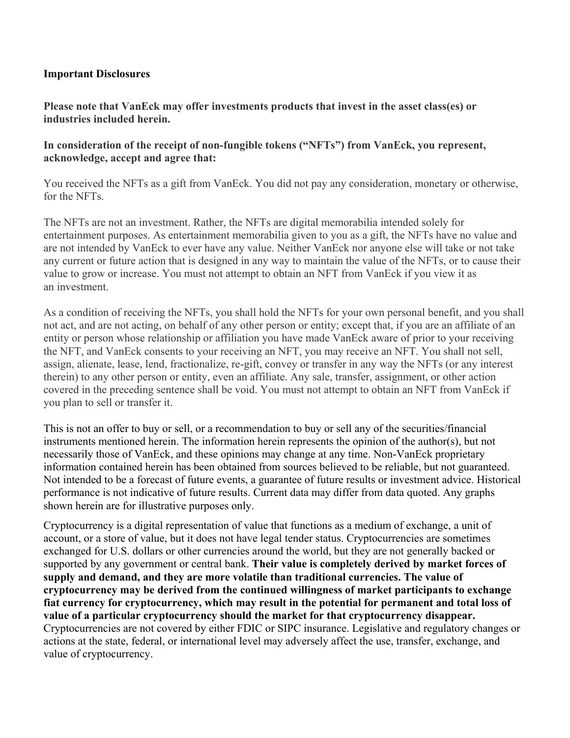## **Important Disclosures**

**Please note that VanEck may offer investments products that invest in the asset class(es) or industries included herein.** 

**In consideration of the receipt of non-fungible tokens ("NFTs") from VanEck, you represent, acknowledge, accept and agree that:**

You received the NFTs as a gift from VanEck. You did not pay any consideration, monetary or otherwise, for the NFTs.

The NFTs are not an investment. Rather, the NFTs are digital memorabilia intended solely for entertainment purposes. As entertainment memorabilia given to you as a gift, the NFTs have no value and are not intended by VanEck to ever have any value. Neither VanEck nor anyone else will take or not take any current or future action that is designed in any way to maintain the value of the NFTs, or to cause their value to grow or increase. You must not attempt to obtain an NFT from VanEck if you view it as an investment.

As a condition of receiving the NFTs, you shall hold the NFTs for your own personal benefit, and you shall not act, and are not acting, on behalf of any other person or entity; except that, if you are an affiliate of an entity or person whose relationship or affiliation you have made VanEck aware of prior to your receiving the NFT, and VanEck consents to your receiving an NFT, you may receive an NFT. You shall not sell, assign, alienate, lease, lend, fractionalize, re-gift, convey or transfer in any way the NFTs (or any interest therein) to any other person or entity, even an affiliate. Any sale, transfer, assignment, or other action covered in the preceding sentence shall be void. You must not attempt to obtain an NFT from VanEck if you plan to sell or transfer it.

This is not an offer to buy or sell, or a recommendation to buy or sell any of the securities/financial instruments mentioned herein. The information herein represents the opinion of the author(s), but not necessarily those of VanEck, and these opinions may change at any time. Non-VanEck proprietary information contained herein has been obtained from sources believed to be reliable, but not guaranteed. Not intended to be a forecast of future events, a guarantee of future results or investment advice. Historical performance is not indicative of future results. Current data may differ from data quoted. Any graphs shown herein are for illustrative purposes only.

Cryptocurrency is a digital representation of value that functions as a medium of exchange, a unit of account, or a store of value, but it does not have legal tender status. Cryptocurrencies are sometimes exchanged for U.S. dollars or other currencies around the world, but they are not generally backed or supported by any government or central bank. **Their value is completely derived by market forces of supply and demand, and they are more volatile than traditional currencies. The value of cryptocurrency may be derived from the continued willingness of market participants to exchange fiat currency for cryptocurrency, which may result in the potential for permanent and total loss of value of a particular cryptocurrency should the market for that cryptocurrency disappear.** Cryptocurrencies are not covered by either FDIC or SIPC insurance. Legislative and regulatory changes or actions at the state, federal, or international level may adversely affect the use, transfer, exchange, and value of cryptocurrency.